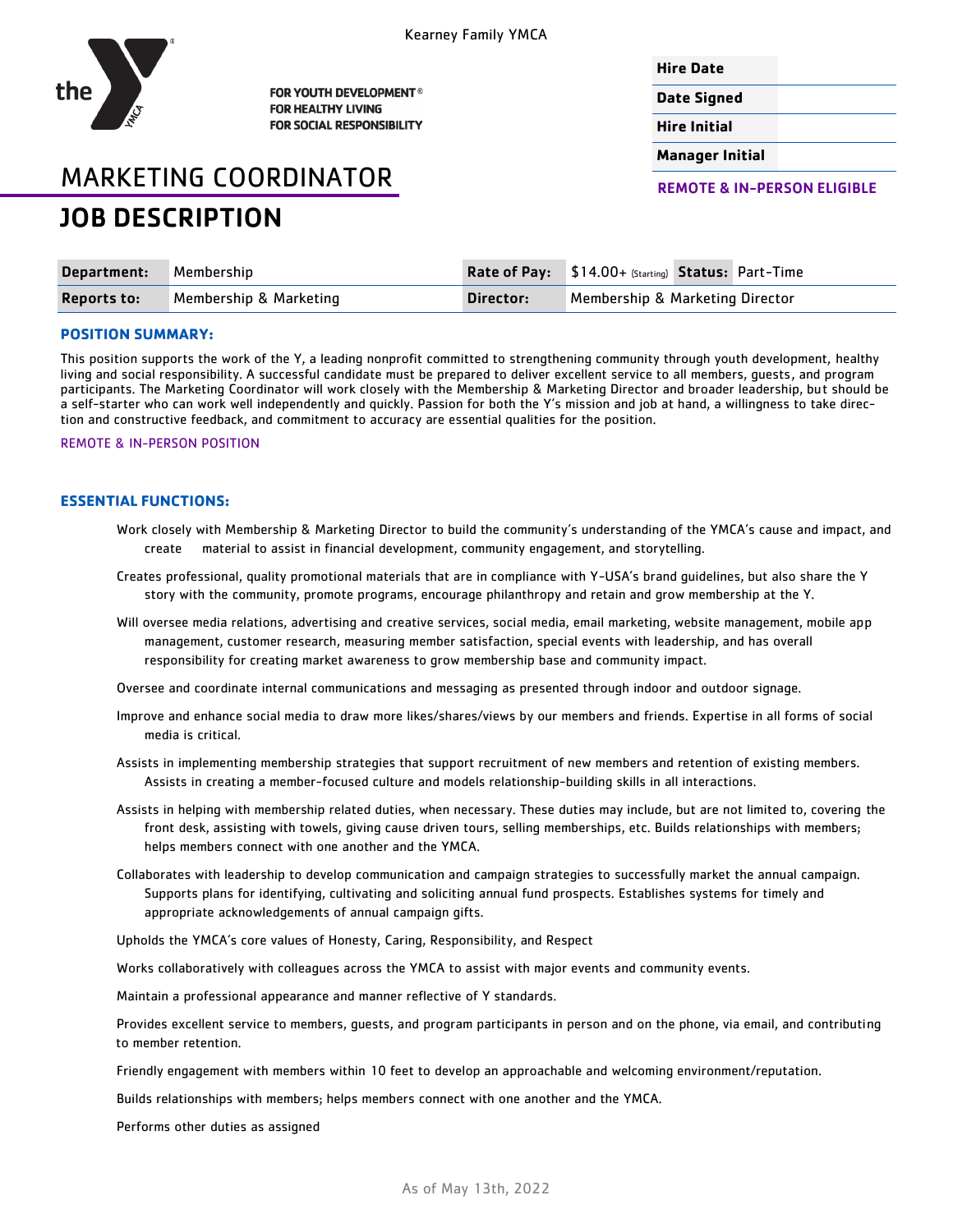

FOR YOUTH DEVELOPMENT<sup>®</sup> **FOR HEALTHY LIVING FOR SOCIAL RESPONSIBILITY** 

## **Hire Date**

**Date Signed**

**Hire Initial**

**Manager Initial**

# MARKETING COORDINATOR JOB DESCRIPTION

REMOTE & IN-PERSON ELIGIBLE

| Department: Membership |                        |           | <b>Rate of Pay:</b> \$14.00+ (Starting) Status: Part-Time |  |  |
|------------------------|------------------------|-----------|-----------------------------------------------------------|--|--|
| <b>Reports to:</b>     | Membership & Marketing | Director: | Membership & Marketing Director                           |  |  |

# **POSITION SUMMARY:**

This position supports the work of the Y, a leading nonprofit committed to strengthening community through youth development, healthy living and social responsibility. A successful candidate must be prepared to deliver excellent service to all members, guests, and program participants. The Marketing Coordinator will work closely with the Membership & Marketing Director and broader leadership, but should be a self-starter who can work well independently and quickly. Passion for both the Y's mission and job at hand, a willingness to take direction and constructive feedback, and commitment to accuracy are essential qualities for the position.

#### REMOTE & IN-PERSON POSITION

## **ESSENTIAL FUNCTIONS:**

- Work closely with Membership & Marketing Director to build the community's understanding of the YMCA's cause and impact, and create material to assist in financial development, community engagement, and storytelling.
- Creates professional, quality promotional materials that are in compliance with Y-USA's brand guidelines, but also share the Y story with the community, promote programs, encourage philanthropy and retain and grow membership at the Y.
- Will oversee media relations, advertising and creative services, social media, email marketing, website management, mobile app management, customer research, measuring member satisfaction, special events with leadership, and has overall responsibility for creating market awareness to grow membership base and community impact.
- Oversee and coordinate internal communications and messaging as presented through indoor and outdoor signage.
- Improve and enhance social media to draw more likes/shares/views by our members and friends. Expertise in all forms of social media is critical.
- Assists in implementing membership strategies that support recruitment of new members and retention of existing members. Assists in creating a member-focused culture and models relationship-building skills in all interactions.
- Assists in helping with membership related duties, when necessary. These duties may include, but are not limited to, covering the front desk, assisting with towels, giving cause driven tours, selling memberships, etc. Builds relationships with members; helps members connect with one another and the YMCA.
- Collaborates with leadership to develop communication and campaign strategies to successfully market the annual campaign. Supports plans for identifying, cultivating and soliciting annual fund prospects. Establishes systems for timely and appropriate acknowledgements of annual campaign gifts.
- Upholds the YMCA's core values of Honesty, Caring, Responsibility, and Respect

Works collaboratively with colleagues across the YMCA to assist with major events and community events.

Maintain a professional appearance and manner reflective of Y standards.

Provides excellent service to members, guests, and program participants in person and on the phone, via email, and contributing to member retention.

Friendly engagement with members within 10 feet to develop an approachable and welcoming environment/reputation.

Builds relationships with members; helps members connect with one another and the YMCA.

Performs other duties as assigned